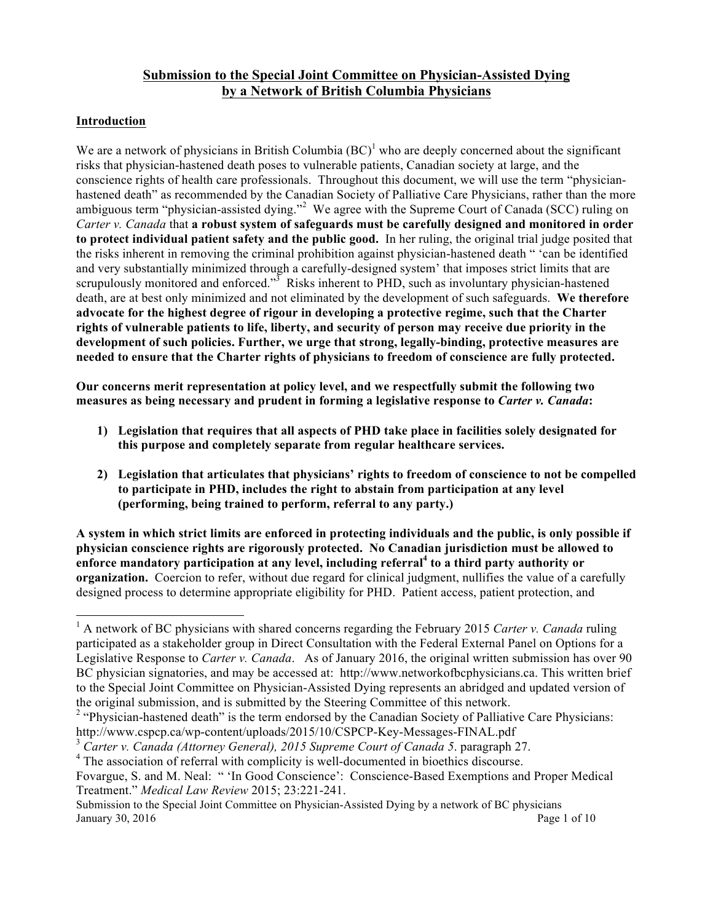# **Submission to the Special Joint Committee on Physician-Assisted Dying by a Network of British Columbia Physicians**

# **Introduction**

 

We are a network of physicians in British Columbia  $(BC)^{1}$  who are deeply concerned about the significant risks that physician-hastened death poses to vulnerable patients, Canadian society at large, and the conscience rights of health care professionals. Throughout this document, we will use the term "physicianhastened death" as recommended by the Canadian Society of Palliative Care Physicians, rather than the more ambiguous term "physician-assisted dying."<sup>2</sup> We agree with the Supreme Court of Canada (SCC) ruling on *Carter v. Canada* that **a robust system of safeguards must be carefully designed and monitored in order to protect individual patient safety and the public good.** In her ruling, the original trial judge posited that the risks inherent in removing the criminal prohibition against physician-hastened death " 'can be identified and very substantially minimized through a carefully-designed system' that imposes strict limits that are scrupulously monitored and enforced. $3\sigma^3$  Risks inherent to PHD, such as involuntary physician-hastened death, are at best only minimized and not eliminated by the development of such safeguards. **We therefore advocate for the highest degree of rigour in developing a protective regime, such that the Charter rights of vulnerable patients to life, liberty, and security of person may receive due priority in the development of such policies. Further, we urge that strong, legally-binding, protective measures are needed to ensure that the Charter rights of physicians to freedom of conscience are fully protected.**

**Our concerns merit representation at policy level, and we respectfully submit the following two measures as being necessary and prudent in forming a legislative response to** *Carter v. Canada***:**

- **1) Legislation that requires that all aspects of PHD take place in facilities solely designated for this purpose and completely separate from regular healthcare services.**
- **2) Legislation that articulates that physicians' rights to freedom of conscience to not be compelled to participate in PHD, includes the right to abstain from participation at any level (performing, being trained to perform, referral to any party.)**

**A system in which strict limits are enforced in protecting individuals and the public, is only possible if physician conscience rights are rigorously protected. No Canadian jurisdiction must be allowed to enforce mandatory participation at any level, including referral<sup>4</sup> to a third party authority or organization.** Coercion to refer, without due regard for clinical judgment, nullifies the value of a carefully designed process to determine appropriate eligibility for PHD. Patient access, patient protection, and

<sup>1</sup> A network of BC physicians with shared concerns regarding the February 2015 *Carter v. Canada* ruling participated as a stakeholder group in Direct Consultation with the Federal External Panel on Options for a Legislative Response to *Carter v. Canada*. As of January 2016, the original written submission has over 90 BC physician signatories, and may be accessed at: http://www.networkofbcphysicians.ca. This written brief to the Special Joint Committee on Physician-Assisted Dying represents an abridged and updated version of the original submission, and is submitted by the Steering Committee of this network.

<sup>&</sup>lt;sup>2</sup> "Physician-hastened death" is the term endorsed by the Canadian Society of Palliative Care Physicians: http://www.cspcp.ca/wp-content/uploads/2015/10/CSPCP-Key-Messages-FINAL.pdf

<sup>3</sup> *Carter v. Canada (Attorney General), 2015 Supreme Court of Canada 5*. paragraph 27.

<sup>&</sup>lt;sup>4</sup> The association of referral with complicity is well-documented in bioethics discourse.

Fovargue, S. and M. Neal: " 'In Good Conscience': Conscience-Based Exemptions and Proper Medical Treatment." *Medical Law Review* 2015; 23:221-241.

Submission to the Special Joint Committee on Physician-Assisted Dying by a network of BC physicians January 30, 2016  $\qquad \qquad$  Page 1 of 10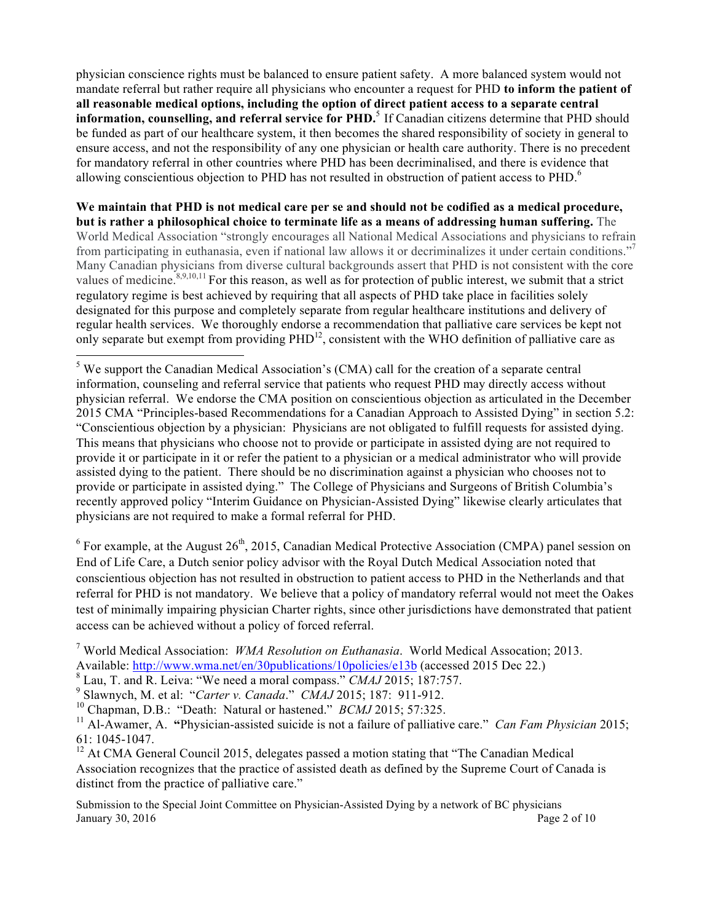physician conscience rights must be balanced to ensure patient safety. A more balanced system would not mandate referral but rather require all physicians who encounter a request for PHD **to inform the patient of all reasonable medical options, including the option of direct patient access to a separate central information, counselling, and referral service for PHD.**<sup>5</sup> If Canadian citizens determine that PHD should be funded as part of our healthcare system, it then becomes the shared responsibility of society in general to ensure access, and not the responsibility of any one physician or health care authority. There is no precedent for mandatory referral in other countries where PHD has been decriminalised, and there is evidence that allowing conscientious objection to PHD has not resulted in obstruction of patient access to PHD.<sup>6</sup>

**We maintain that PHD is not medical care per se and should not be codified as a medical procedure, but is rather a philosophical choice to terminate life as a means of addressing human suffering.** The World Medical Association "strongly encourages all National Medical Associations and physicians to refrain from participating in euthanasia, even if national law allows it or decriminalizes it under certain conditions."<sup>7</sup> Many Canadian physicians from diverse cultural backgrounds assert that PHD is not consistent with the core values of medicine.<sup>8,9,10,11</sup> For this reason, as well as for protection of public interest, we submit that a strict regulatory regime is best achieved by requiring that all aspects of PHD take place in facilities solely designated for this purpose and completely separate from regular healthcare institutions and delivery of regular health services.We thoroughly endorse a recommendation that palliative care services be kept not only separate but exempt from providing PHD<sup>12</sup>, consistent with the WHO definition of palliative care as

<sup>5</sup> We support the Canadian Medical Association's (CMA) call for the creation of a separate central information, counseling and referral service that patients who request PHD may directly access without physician referral. We endorse the CMA position on conscientious objection as articulated in the December 2015 CMA "Principles-based Recommendations for a Canadian Approach to Assisted Dying" in section 5.2: "Conscientious objection by a physician: Physicians are not obligated to fulfill requests for assisted dying. This means that physicians who choose not to provide or participate in assisted dying are not required to provide it or participate in it or refer the patient to a physician or a medical administrator who will provide assisted dying to the patient. There should be no discrimination against a physician who chooses not to provide or participate in assisted dying." The College of Physicians and Surgeons of British Columbia's recently approved policy "Interim Guidance on Physician-Assisted Dying" likewise clearly articulates that physicians are not required to make a formal referral for PHD.

 $6$  For example, at the August  $26<sup>th</sup>$ , 2015, Canadian Medical Protective Association (CMPA) panel session on End of Life Care, a Dutch senior policy advisor with the Royal Dutch Medical Association noted that conscientious objection has not resulted in obstruction to patient access to PHD in the Netherlands and that referral for PHD is not mandatory. We believe that a policy of mandatory referral would not meet the Oakes test of minimally impairing physician Charter rights, since other jurisdictions have demonstrated that patient access can be achieved without a policy of forced referral.

<sup>7</sup> World Medical Association: *WMA Resolution on Euthanasia*. World Medical Assocation; 2013. Available: http://www.wma.net/en/30publications/10policies/e13b (accessed 2015 Dec 22.)

<sup>8</sup> Lau, T. and R. Leiva: "We need a moral compass." *CMAJ* 2015; 187:757.

<sup>9</sup> Slawnych, M. et al: "*Carter v. Canada*." *CMAJ* 2015; 187: 911-912.

<sup>10</sup> Chapman, D.B.: "Death: Natural or hastened." *BCMJ* 2015; 57:325.

<sup>11</sup> Al-Awamer, A. **"**Physician-assisted suicide is not a failure of palliative care." *Can Fam Physician* 2015; 61: 1045-1047.

 $12$  At CMA General Council 2015, delegates passed a motion stating that "The Canadian Medical Association recognizes that the practice of assisted death as defined by the Supreme Court of Canada is distinct from the practice of palliative care."

Submission to the Special Joint Committee on Physician-Assisted Dying by a network of BC physicians January 30, 2016  $\qquad \qquad$  Page 2 of 10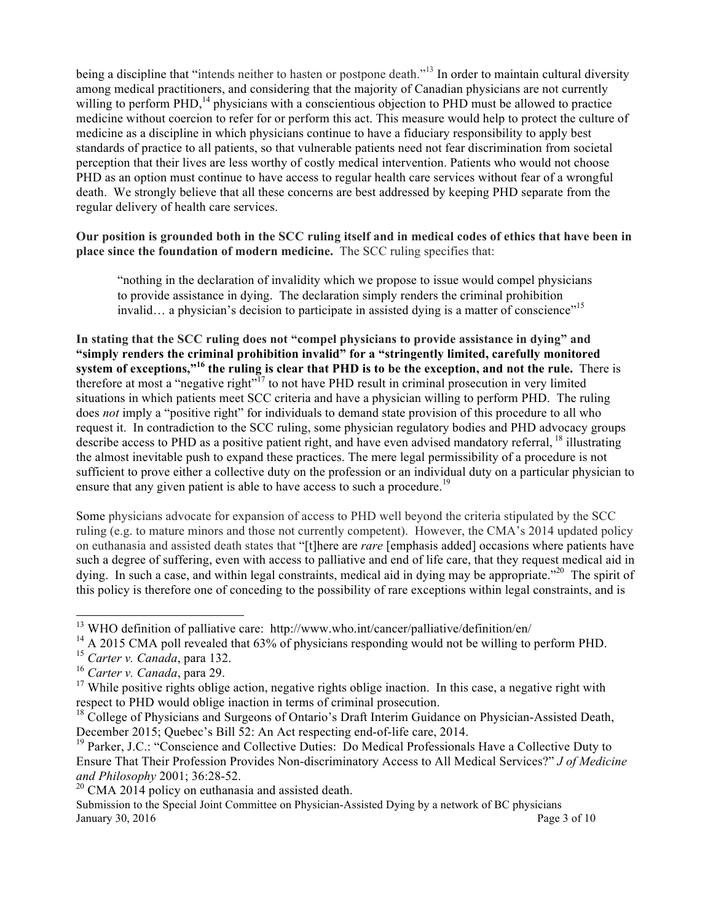being a discipline that "intends neither to hasten or postpone death."<sup>13</sup> In order to maintain cultural diversity among medical practitioners, and considering that the majority of Canadian physicians are not currently willing to perform PHD,<sup>14</sup> physicians with a conscientious objection to PHD must be allowed to practice medicine without coercion to refer for or perform this act. This measure would help to protect the culture of medicine as a discipline in which physicians continue to have a fiduciary responsibility to apply best standards of practice to all patients, so that vulnerable patients need not fear discrimination from societal perception that their lives are less worthy of costly medical intervention. Patients who would not choose PHD as an option must continue to have access to regular health care services without fear of a wrongful death. We strongly believe that all these concerns are best addressed by keeping PHD separate from the regular delivery of health care services.

#### **Our position is grounded both in the SCC ruling itself and in medical codes of ethics that have been in place since the foundation of modern medicine.** The SCC ruling specifies that:

"nothing in the declaration of invalidity which we propose to issue would compel physicians to provide assistance in dying. The declaration simply renders the criminal prohibition invalid... a physician's decision to participate in assisted dying is a matter of conscience"<sup>15</sup>

**In stating that the SCC ruling does not "compel physicians to provide assistance in dying" and "simply renders the criminal prohibition invalid" for a "stringently limited, carefully monitored system of exceptions,"16 the ruling is clear that PHD is to be the exception, and not the rule.** There is therefore at most a "negative right"<sup>17</sup> to not have PHD result in criminal prosecution in very limited situations in which patients meet SCC criteria and have a physician willing to perform PHD. The ruling does *not* imply a "positive right" for individuals to demand state provision of this procedure to all who request it. In contradiction to the SCC ruling, some physician regulatory bodies and PHD advocacy groups describe access to PHD as a positive patient right, and have even advised mandatory referral, <sup>18</sup> illustrating the almost inevitable push to expand these practices. The mere legal permissibility of a procedure is not sufficient to prove either a collective duty on the profession or an individual duty on a particular physician to ensure that any given patient is able to have access to such a procedure.<sup>19</sup>

Some physicians advocate for expansion of access to PHD well beyond the criteria stipulated by the SCC ruling (e.g. to mature minors and those not currently competent). However, the CMA's 2014 updated policy on euthanasia and assisted death states that "[t]here are *rare* [emphasis added] occasions where patients have such a degree of suffering, even with access to palliative and end of life care, that they request medical aid in dying. In such a case, and within legal constraints, medical aid in dying may be appropriate."<sup>20</sup> The spirit of this policy is therefore one of conceding to the possibility of rare exceptions within legal constraints, and is

 

 $13$  WHO definition of palliative care: http://www.who.int/cancer/palliative/definition/en/

<sup>&</sup>lt;sup>14</sup> A 2015 CMA poll revealed that 63% of physicians responding would not be willing to perform PHD.

<sup>15</sup> *Carter v. Canada*, para 132.

<sup>16</sup> *Carter v. Canada*, para 29.

 $17$  While positive rights oblige action, negative rights oblige inaction. In this case, a negative right with respect to PHD would oblige inaction in terms of criminal prosecution.

<sup>&</sup>lt;sup>18</sup> College of Physicians and Surgeons of Ontario's Draft Interim Guidance on Physician-Assisted Death, December 2015; Quebec's Bill 52: An Act respecting end-of-life care, 2014.

<sup>&</sup>lt;sup>19</sup> Parker, J.C.: "Conscience and Collective Duties: Do Medical Professionals Have a Collective Duty to Ensure That Their Profession Provides Non-discriminatory Access to All Medical Services?" *J of Medicine and Philosophy* 2001; 36:28-52.

 $20$  CMA 2014 policy on euthanasia and assisted death.

Submission to the Special Joint Committee on Physician-Assisted Dying by a network of BC physicians January 30, 2016  $\qquad \qquad$  Page 3 of 10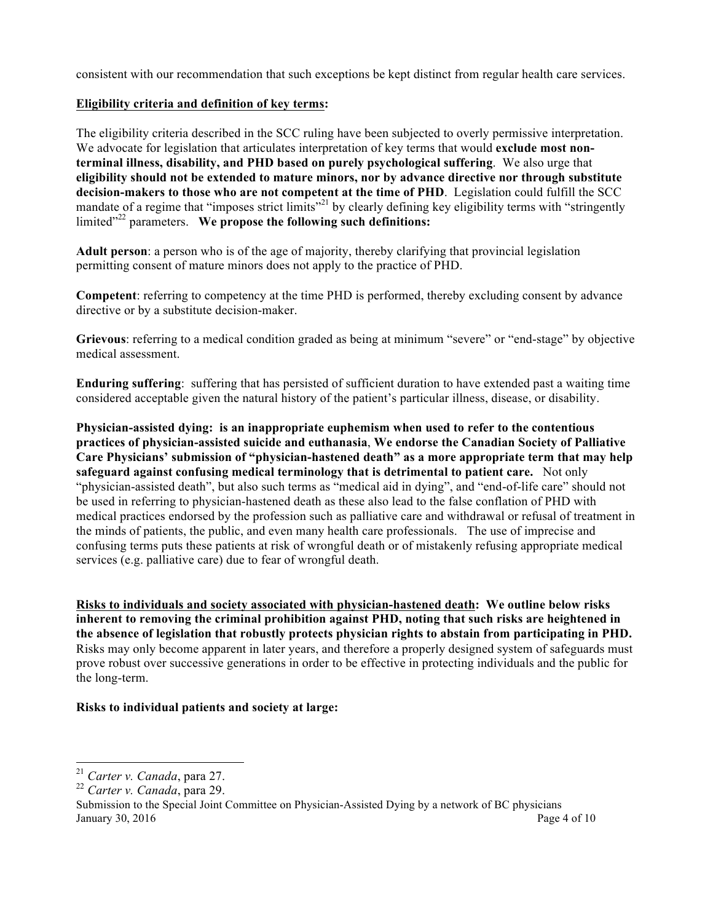consistent with our recommendation that such exceptions be kept distinct from regular health care services.

#### **Eligibility criteria and definition of key terms:**

The eligibility criteria described in the SCC ruling have been subjected to overly permissive interpretation. We advocate for legislation that articulates interpretation of key terms that would **exclude most nonterminal illness, disability, and PHD based on purely psychological suffering**. We also urge that **eligibility should not be extended to mature minors, nor by advance directive nor through substitute decision-makers to those who are not competent at the time of PHD**. Legislation could fulfill the SCC mandate of a regime that "imposes strict limits"<sup>21</sup> by clearly defining key eligibility terms with "stringently" limited<sup>"22</sup> parameters. We propose the following such definitions:

**Adult person**: a person who is of the age of majority, thereby clarifying that provincial legislation permitting consent of mature minors does not apply to the practice of PHD.

**Competent**: referring to competency at the time PHD is performed, thereby excluding consent by advance directive or by a substitute decision-maker.

**Grievous**: referring to a medical condition graded as being at minimum "severe" or "end-stage" by objective medical assessment.

**Enduring suffering**: suffering that has persisted of sufficient duration to have extended past a waiting time considered acceptable given the natural history of the patient's particular illness, disease, or disability.

**Physician-assisted dying: is an inappropriate euphemism when used to refer to the contentious practices of physician-assisted suicide and euthanasia**, **We endorse the Canadian Society of Palliative Care Physicians' submission of "physician-hastened death" as a more appropriate term that may help safeguard against confusing medical terminology that is detrimental to patient care.** Not only "physician-assisted death", but also such terms as "medical aid in dying", and "end-of-life care" should not be used in referring to physician-hastened death as these also lead to the false conflation of PHD with medical practices endorsed by the profession such as palliative care and withdrawal or refusal of treatment in the minds of patients, the public, and even many health care professionals. The use of imprecise and confusing terms puts these patients at risk of wrongful death or of mistakenly refusing appropriate medical services (e.g. palliative care) due to fear of wrongful death.

**Risks to individuals and society associated with physician-hastened death: We outline below risks inherent to removing the criminal prohibition against PHD, noting that such risks are heightened in the absence of legislation that robustly protects physician rights to abstain from participating in PHD.**  Risks may only become apparent in later years, and therefore a properly designed system of safeguards must prove robust over successive generations in order to be effective in protecting individuals and the public for the long-term.

# **Risks to individual patients and society at large:**

 

<sup>21</sup> *Carter v. Canada*, para 27.

<sup>22</sup> *Carter v. Canada*, para 29.

Submission to the Special Joint Committee on Physician-Assisted Dying by a network of BC physicians January 30, 2016  $\qquad \qquad$  Page 4 of 10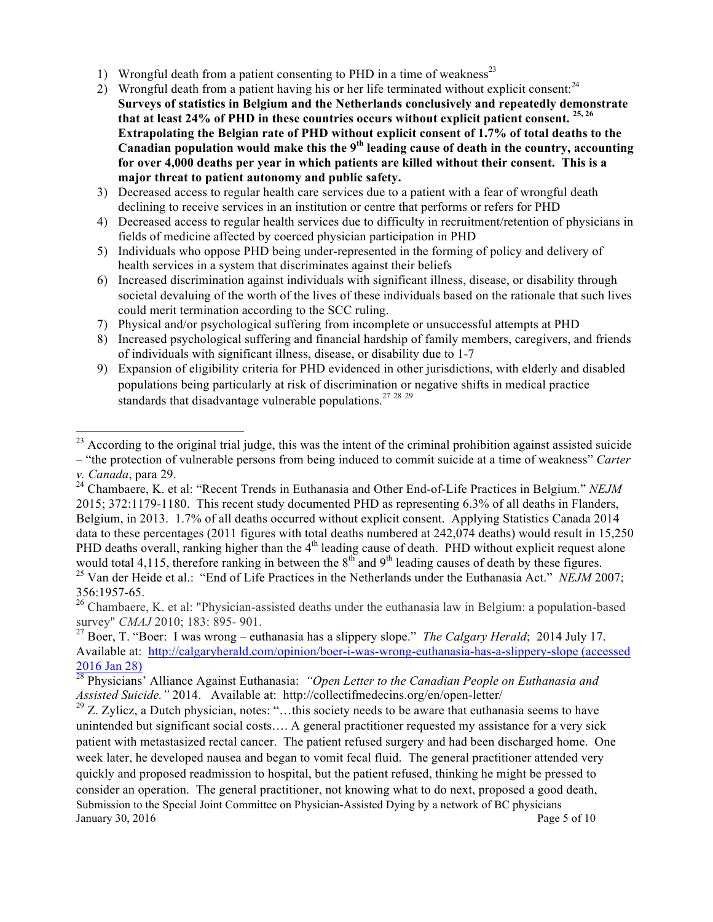- 1) Wrongful death from a patient consenting to PHD in a time of weakness<sup>23</sup>
- 2) Wrongful death from a patient having his or her life terminated without explicit consent: $^{24}$ **Surveys of statistics in Belgium and the Netherlands conclusively and repeatedly demonstrate that at least 24% of PHD in these countries occurs without explicit patient consent. 25, 26 Extrapolating the Belgian rate of PHD without explicit consent of 1.7% of total deaths to the Canadian population would make this the 9th leading cause of death in the country, accounting for over 4,000 deaths per year in which patients are killed without their consent. This is a major threat to patient autonomy and public safety.**
- 3) Decreased access to regular health care services due to a patient with a fear of wrongful death declining to receive services in an institution or centre that performs or refers for PHD
- 4) Decreased access to regular health services due to difficulty in recruitment/retention of physicians in fields of medicine affected by coerced physician participation in PHD
- 5) Individuals who oppose PHD being under-represented in the forming of policy and delivery of health services in a system that discriminates against their beliefs
- 6) Increased discrimination against individuals with significant illness, disease, or disability through societal devaluing of the worth of the lives of these individuals based on the rationale that such lives could merit termination according to the SCC ruling.
- 7) Physical and/or psychological suffering from incomplete or unsuccessful attempts at PHD
- 8) Increased psychological suffering and financial hardship of family members, caregivers, and friends of individuals with significant illness, disease, or disability due to 1-7
- 9) Expansion of eligibility criteria for PHD evidenced in other jurisdictions, with elderly and disabled populations being particularly at risk of discrimination or negative shifts in medical practice standards that disadvantage vulnerable populations.<sup>27, 28, 29</sup>

 $^{23}$  According to the original trial judge, this was the intent of the criminal prohibition against assisted suicide

<sup>–</sup> "the protection of vulnerable persons from being induced to commit suicide at a time of weakness" *Carter v. Canada*, para 29.

<sup>24</sup> Chambaere, K. et al: "Recent Trends in Euthanasia and Other End-of-Life Practices in Belgium." *NEJM* 2015; 372:1179-1180. This recent study documented PHD as representing 6.3% of all deaths in Flanders, Belgium, in 2013. 1.7% of all deaths occurred without explicit consent. Applying Statistics Canada 2014 data to these percentages (2011 figures with total deaths numbered at 242,074 deaths) would result in 15,250 PHD deaths overall, ranking higher than the  $4<sup>th</sup>$  leading cause of death. PHD without explicit request alone would total 4,115, therefore ranking in between the  $8<sup>th</sup>$  and  $9<sup>th</sup>$  leading causes of death by these figures. <sup>25</sup> Van der Heide et al.: "End of Life Practices in the Netherlands under the Euthanasia Act." *NEJM* 2007;

<sup>356:1957-65.</sup> <sup>26</sup> Chambaere, K. et al: "Physician-assisted deaths under the euthanasia law in Belgium: a population-based survey" *CMAJ* 2010; 183: 895- 901.

<sup>27</sup> Boer, T. "Boer: I was wrong – euthanasia has a slippery slope." *The Calgary Herald*; 2014 July 17. Available at: http://calgaryherald.com/opinion/boer-i-was-wrong-euthanasia-has-a-slippery-slope (accessed 2016 Jan 28)

<sup>28</sup> Physicians' Alliance Against Euthanasia: *"Open Letter to the Canadian People on Euthanasia and Assisted Suicide."* 2014. Available at: http://collectifmedecins.org/en/open-letter/

Submission to the Special Joint Committee on Physician-Assisted Dying by a network of BC physicians January 30, 2016  $\qquad \qquad$  Page 5 of 10 <sup>29</sup> Z. Zylicz, a Dutch physician, notes: "...this society needs to be aware that euthanasia seems to have unintended but significant social costs…. A general practitioner requested my assistance for a very sick patient with metastasized rectal cancer. The patient refused surgery and had been discharged home. One week later, he developed nausea and began to vomit fecal fluid. The general practitioner attended very quickly and proposed readmission to hospital, but the patient refused, thinking he might be pressed to consider an operation. The general practitioner, not knowing what to do next, proposed a good death,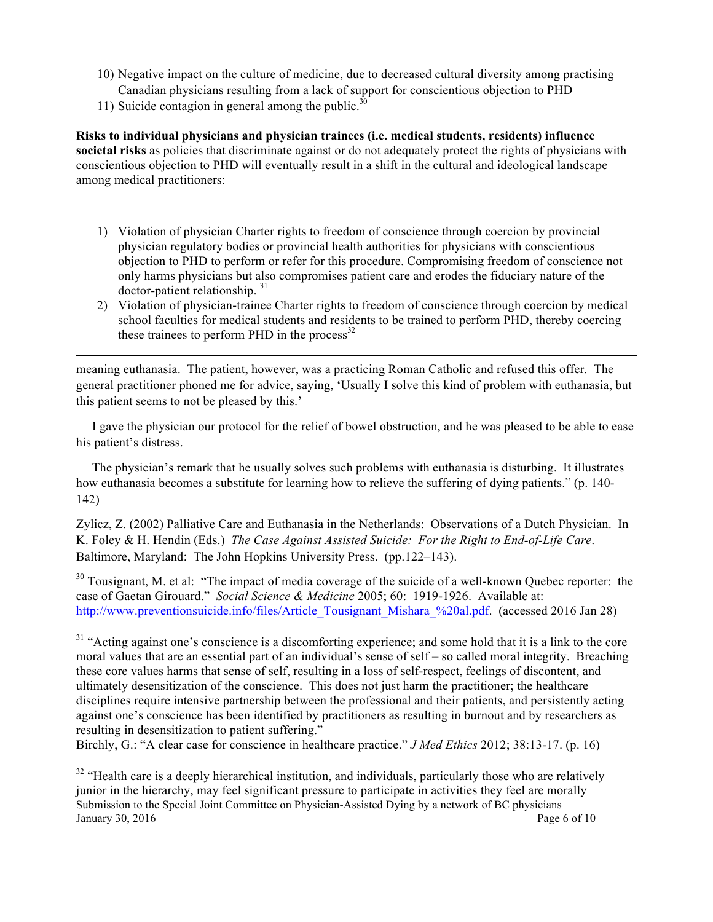- 10) Negative impact on the culture of medicine, due to decreased cultural diversity among practising Canadian physicians resulting from a lack of support for conscientious objection to PHD
- 11) Suicide contagion in general among the public.<sup>30</sup>

**Risks to individual physicians and physician trainees (i.e. medical students, residents) influence societal risks** as policies that discriminate against or do not adequately protect the rights of physicians with conscientious objection to PHD will eventually result in a shift in the cultural and ideological landscape among medical practitioners:

- 1) Violation of physician Charter rights to freedom of conscience through coercion by provincial physician regulatory bodies or provincial health authorities for physicians with conscientious objection to PHD to perform or refer for this procedure. Compromising freedom of conscience not only harms physicians but also compromises patient care and erodes the fiduciary nature of the doctor-patient relationship. 31
- 2) Violation of physician-trainee Charter rights to freedom of conscience through coercion by medical school faculties for medical students and residents to be trained to perform PHD, thereby coercing these trainees to perform PHD in the process $^{32}$

meaning euthanasia. The patient, however, was a practicing Roman Catholic and refused this offer. The general practitioner phoned me for advice, saying, 'Usually I solve this kind of problem with euthanasia, but this patient seems to not be pleased by this.'

<u> 1989 - Johann Stoff, fransk kongresu i den forske forske forske forske forske forske forske forske forske for</u>

 I gave the physician our protocol for the relief of bowel obstruction, and he was pleased to be able to ease his patient's distress.

 The physician's remark that he usually solves such problems with euthanasia is disturbing. It illustrates how euthanasia becomes a substitute for learning how to relieve the suffering of dying patients." (p. 140- 142)

Zylicz, Z. (2002) Palliative Care and Euthanasia in the Netherlands: Observations of a Dutch Physician. In K. Foley & H. Hendin (Eds.) *The Case Against Assisted Suicide: For the Right to End-of-Life Care*. Baltimore, Maryland: The John Hopkins University Press. (pp.122–143).

<sup>30</sup> Tousignant, M. et al: "The impact of media coverage of the suicide of a well-known Quebec reporter: the case of Gaetan Girouard." *Social Science & Medicine* 2005; 60: 1919-1926. Available at: http://www.preventionsuicide.info/files/Article\_Tousignant\_Mishara\_%20al.pdf. (accessed 2016 Jan 28)

<sup>31</sup> "Acting against one's conscience is a discomforting experience; and some hold that it is a link to the core moral values that are an essential part of an individual's sense of self – so called moral integrity. Breaching these core values harms that sense of self, resulting in a loss of self-respect, feelings of discontent, and ultimately desensitization of the conscience. This does not just harm the practitioner; the healthcare disciplines require intensive partnership between the professional and their patients, and persistently acting against one's conscience has been identified by practitioners as resulting in burnout and by researchers as resulting in desensitization to patient suffering."

Birchly, G.: "A clear case for conscience in healthcare practice." *J Med Ethics* 2012; 38:13-17. (p. 16)

Submission to the Special Joint Committee on Physician-Assisted Dying by a network of BC physicians January 30, 2016  $\qquad \qquad$  Page 6 of 10 <sup>32</sup> "Health care is a deeply hierarchical institution, and individuals, particularly those who are relatively junior in the hierarchy, may feel significant pressure to participate in activities they feel are morally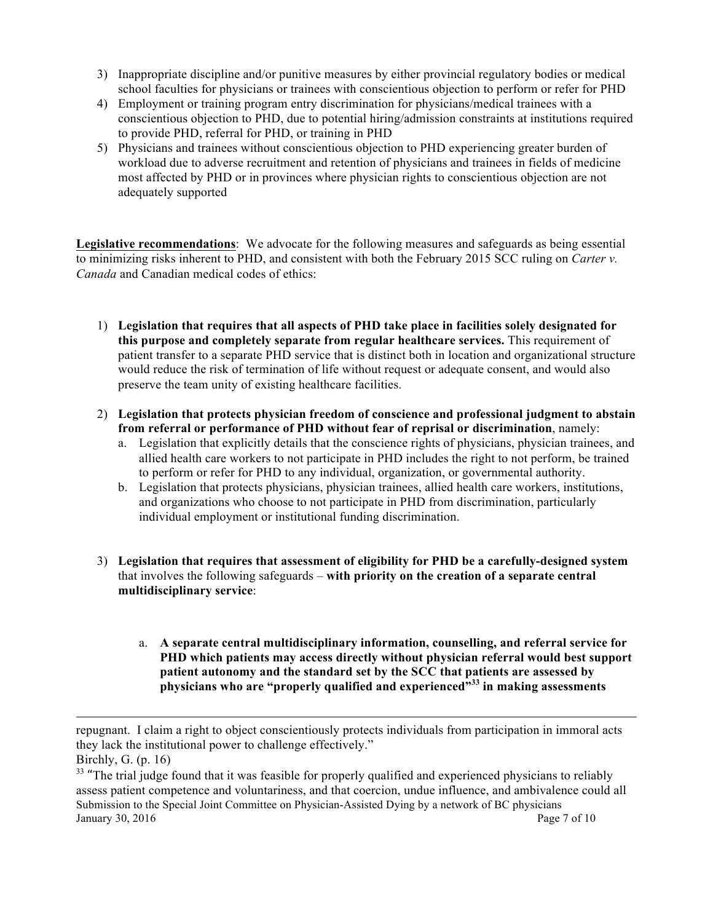- 3) Inappropriate discipline and/or punitive measures by either provincial regulatory bodies or medical school faculties for physicians or trainees with conscientious objection to perform or refer for PHD
- 4) Employment or training program entry discrimination for physicians/medical trainees with a conscientious objection to PHD, due to potential hiring/admission constraints at institutions required to provide PHD, referral for PHD, or training in PHD
- 5) Physicians and trainees without conscientious objection to PHD experiencing greater burden of workload due to adverse recruitment and retention of physicians and trainees in fields of medicine most affected by PHD or in provinces where physician rights to conscientious objection are not adequately supported

**Legislative recommendations**: We advocate for the following measures and safeguards as being essential to minimizing risks inherent to PHD, and consistent with both the February 2015 SCC ruling on *Carter v. Canada* and Canadian medical codes of ethics:

- 1) **Legislation that requires that all aspects of PHD take place in facilities solely designated for this purpose and completely separate from regular healthcare services.** This requirement of patient transfer to a separate PHD service that is distinct both in location and organizational structure would reduce the risk of termination of life without request or adequate consent, and would also preserve the team unity of existing healthcare facilities.
- 2) **Legislation that protects physician freedom of conscience and professional judgment to abstain from referral or performance of PHD without fear of reprisal or discrimination**, namely:
	- a. Legislation that explicitly details that the conscience rights of physicians, physician trainees, and allied health care workers to not participate in PHD includes the right to not perform, be trained to perform or refer for PHD to any individual, organization, or governmental authority.
	- b. Legislation that protects physicians, physician trainees, allied health care workers, institutions, and organizations who choose to not participate in PHD from discrimination, particularly individual employment or institutional funding discrimination.
- 3) **Legislation that requires that assessment of eligibility for PHD be a carefully-designed system** that involves the following safeguards – **with priority on the creation of a separate central multidisciplinary service**:
	- a. **A separate central multidisciplinary information, counselling, and referral service for PHD which patients may access directly without physician referral would best support patient autonomy and the standard set by the SCC that patients are assessed by physicians who are "properly qualified and experienced"33 in making assessments**

<u> 1980 - Andrea Santa Andrea Andrea Andrea Andrea Andrea Andrea Andrea Andrea Andrea Andrea Andrea Andrea Andr</u>

repugnant. I claim a right to object conscientiously protects individuals from participation in immoral acts they lack the institutional power to challenge effectively."

Birchly, G. (p. 16)

Submission to the Special Joint Committee on Physician-Assisted Dying by a network of BC physicians January 30, 2016  $\qquad \qquad$  Page 7 of 10 <sup>33</sup> "The trial judge found that it was feasible for properly qualified and experienced physicians to reliably assess patient competence and voluntariness, and that coercion, undue influence, and ambivalence could all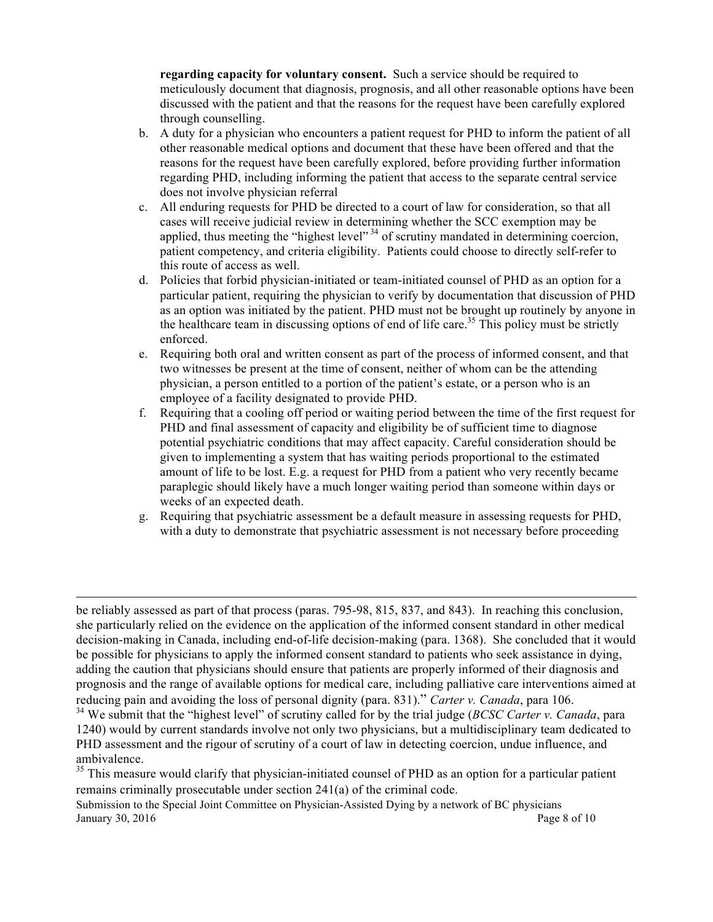**regarding capacity for voluntary consent.** Such a service should be required to meticulously document that diagnosis, prognosis, and all other reasonable options have been discussed with the patient and that the reasons for the request have been carefully explored through counselling.

- b. A duty for a physician who encounters a patient request for PHD to inform the patient of all other reasonable medical options and document that these have been offered and that the reasons for the request have been carefully explored, before providing further information regarding PHD, including informing the patient that access to the separate central service does not involve physician referral
- c. All enduring requests for PHD be directed to a court of law for consideration, so that all cases will receive judicial review in determining whether the SCC exemption may be applied, thus meeting the "highest level"<sup>34</sup> of scrutiny mandated in determining coercion, patient competency, and criteria eligibility. Patients could choose to directly self-refer to this route of access as well.
- d. Policies that forbid physician-initiated or team-initiated counsel of PHD as an option for a particular patient, requiring the physician to verify by documentation that discussion of PHD as an option was initiated by the patient. PHD must not be brought up routinely by anyone in the healthcare team in discussing options of end of life care.<sup>35</sup> This policy must be strictly enforced.
- e. Requiring both oral and written consent as part of the process of informed consent, and that two witnesses be present at the time of consent, neither of whom can be the attending physician, a person entitled to a portion of the patient's estate, or a person who is an employee of a facility designated to provide PHD.
- f. Requiring that a cooling off period or waiting period between the time of the first request for PHD and final assessment of capacity and eligibility be of sufficient time to diagnose potential psychiatric conditions that may affect capacity. Careful consideration should be given to implementing a system that has waiting periods proportional to the estimated amount of life to be lost. E.g. a request for PHD from a patient who very recently became paraplegic should likely have a much longer waiting period than someone within days or weeks of an expected death.
- g. Requiring that psychiatric assessment be a default measure in assessing requests for PHD, with a duty to demonstrate that psychiatric assessment is not necessary before proceeding

be reliably assessed as part of that process (paras. 795-98, 815, 837, and 843). In reaching this conclusion, she particularly relied on the evidence on the application of the informed consent standard in other medical decision-making in Canada, including end-of-life decision-making (para. 1368). She concluded that it would be possible for physicians to apply the informed consent standard to patients who seek assistance in dying, adding the caution that physicians should ensure that patients are properly informed of their diagnosis and prognosis and the range of available options for medical care, including palliative care interventions aimed at reducing pain and avoiding the loss of personal dignity (para. 831)." *Carter v. Canada*, para 106.

<u> 1989 - Andrea Santa Andrea Andrea Andrea Andrea Andrea Andrea Andrea Andrea Andrea Andrea Andrea Andrea Andr</u>

<sup>34</sup> We submit that the "highest level" of scrutiny called for by the trial judge (*BCSC Carter v. Canada*, para 1240) would by current standards involve not only two physicians, but a multidisciplinary team dedicated to PHD assessment and the rigour of scrutiny of a court of law in detecting coercion, undue influence, and ambivalence.

<sup>35</sup> This measure would clarify that physician-initiated counsel of PHD as an option for a particular patient remains criminally prosecutable under section 241(a) of the criminal code.

Submission to the Special Joint Committee on Physician-Assisted Dying by a network of BC physicians January 30, 2016  $\qquad \qquad$  Page 8 of 10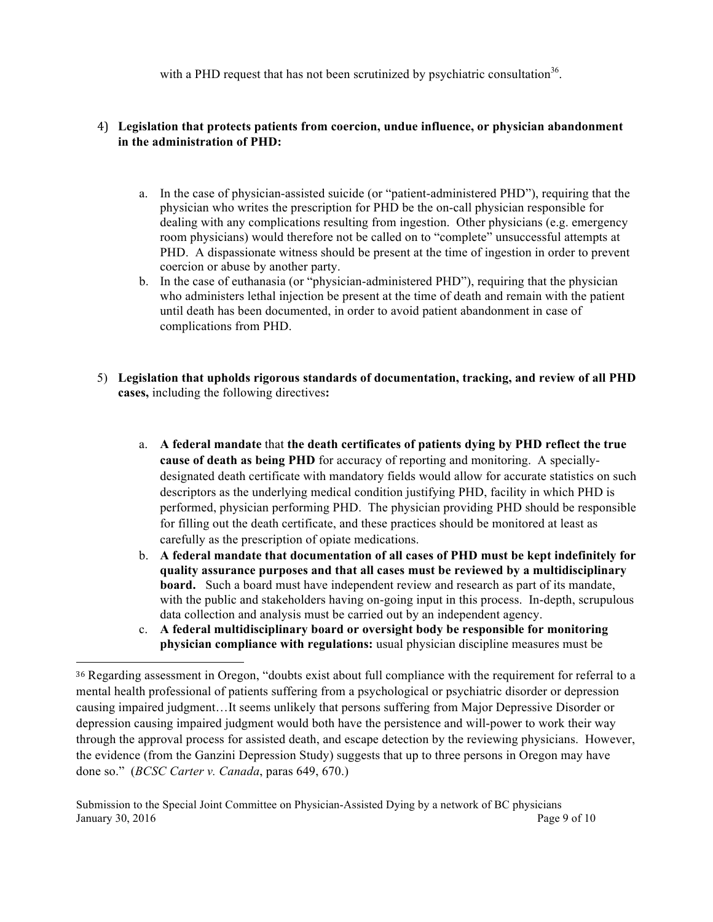with a PHD request that has not been scrutinized by psychiatric consultation<sup>36</sup>.

#### 4) **Legislation that protects patients from coercion, undue influence, or physician abandonment in the administration of PHD:**

- a. In the case of physician-assisted suicide (or "patient-administered PHD"), requiring that the physician who writes the prescription for PHD be the on-call physician responsible for dealing with any complications resulting from ingestion. Other physicians (e.g. emergency room physicians) would therefore not be called on to "complete" unsuccessful attempts at PHD. A dispassionate witness should be present at the time of ingestion in order to prevent coercion or abuse by another party.
- b. In the case of euthanasia (or "physician-administered PHD"), requiring that the physician who administers lethal injection be present at the time of death and remain with the patient until death has been documented, in order to avoid patient abandonment in case of complications from PHD.
- 5) **Legislation that upholds rigorous standards of documentation, tracking, and review of all PHD cases,** including the following directives**:**
	- a. **A federal mandate** that **the death certificates of patients dying by PHD reflect the true cause of death as being PHD** for accuracy of reporting and monitoring. A speciallydesignated death certificate with mandatory fields would allow for accurate statistics on such descriptors as the underlying medical condition justifying PHD, facility in which PHD is performed, physician performing PHD. The physician providing PHD should be responsible for filling out the death certificate, and these practices should be monitored at least as carefully as the prescription of opiate medications.
	- b. **A federal mandate that documentation of all cases of PHD must be kept indefinitely for quality assurance purposes and that all cases must be reviewed by a multidisciplinary board.** Such a board must have independent review and research as part of its mandate, with the public and stakeholders having on-going input in this process. In-depth, scrupulous data collection and analysis must be carried out by an independent agency.
	- c. **A federal multidisciplinary board or oversight body be responsible for monitoring physician compliance with regulations:** usual physician discipline measures must be

<u> 1989 - Johann Stein, marwolaethau a bh</u>

<sup>36</sup> Regarding assessment in Oregon, "doubts exist about full compliance with the requirement for referral to a mental health professional of patients suffering from a psychological or psychiatric disorder or depression causing impaired judgment…It seems unlikely that persons suffering from Major Depressive Disorder or depression causing impaired judgment would both have the persistence and will-power to work their way through the approval process for assisted death, and escape detection by the reviewing physicians. However, the evidence (from the Ganzini Depression Study) suggests that up to three persons in Oregon may have done so." (*BCSC Carter v. Canada*, paras 649, 670.)